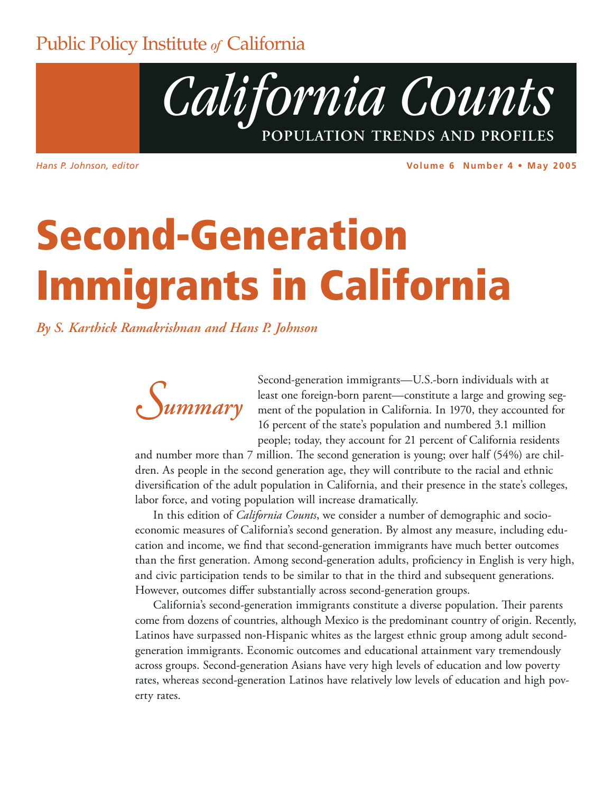### **Public Policy Institute of California**



Hans P. Johnson, editor

Volume 6 Number 4 . May 2005

# **Second-Generation Immigrants in California**

By S. Karthick Ramakrishnan and Hans P. Johnson



Second-generation immigrants—U.S.-born individuals with at least one foreign-born parent-constitute a large and growing segment of the population in California. In 1970, they accounted for 16 percent of the state's population and numbered 3.1 million people; today, they account for 21 percent of California residents

and number more than  $7$  million. The second generation is young; over half  $(54%)$  are children. As people in the second generation age, they will contribute to the racial and ethnic diversification of the adult population in California, and their presence in the state's colleges, labor force, and voting population will increase dramatically.

In this edition of *California Counts*, we consider a number of demographic and socioeconomic measures of California's second generation. By almost any measure, including education and income, we find that second-generation immigrants have much better outcomes than the first generation. Among second-generation adults, proficiency in English is very high, and civic participation tends to be similar to that in the third and subsequent generations. However, outcomes differ substantially across second-generation groups.

California's second-generation immigrants constitute a diverse population. Their parents come from dozens of countries, although Mexico is the predominant country of origin. Recently, Latinos have surpassed non-Hispanic whites as the largest ethnic group among adult secondgeneration immigrants. Economic outcomes and educational attainment vary tremendously across groups. Second-generation Asians have very high levels of education and low poverty rates, whereas second-generation Latinos have relatively low levels of education and high poverty rates.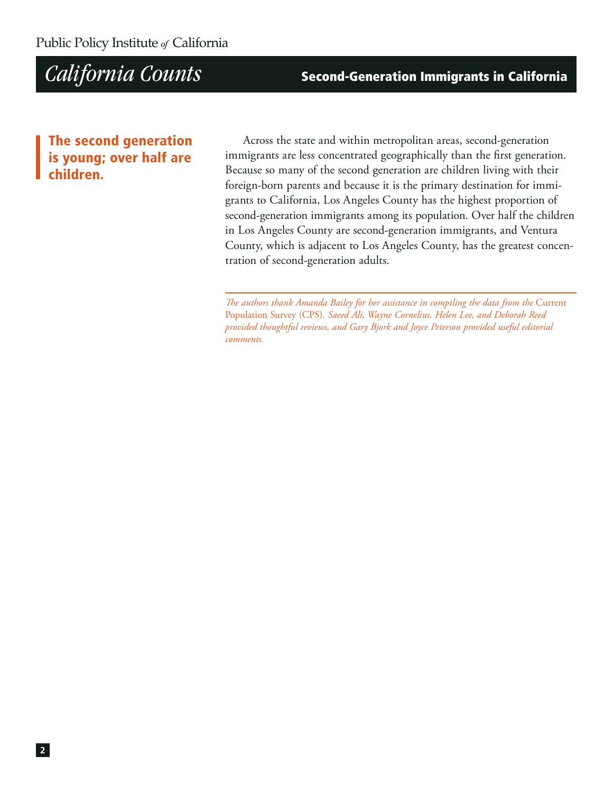**Second-Generation Immigrants in California** 

### **The second generation** is young; over half are children

Across the state and within metropolitan areas, second-generation immigrants are less concentrated geographically than the first generation. Because so many of the second generation are children living with their foreign-born parents and because it is the primary destination for immigrants to California, Los Angeles County has the highest proportion of second-generation immigrants among its population. Over half the children in Los Angeles County are second-generation immigrants, and Ventura County, which is adjacent to Los Angeles County, has the greatest concentration of second-generation adults.

The authors thank Amanda Bailey for her assistance in compiling the data from the Current Population Survey (CPS). Saeed Ali, Wayne Cornelius, Helen Lee, and Deborah Reed provided thoughtful reviews, and Gary Bjork and Joyce Peterson provided useful editorial comments.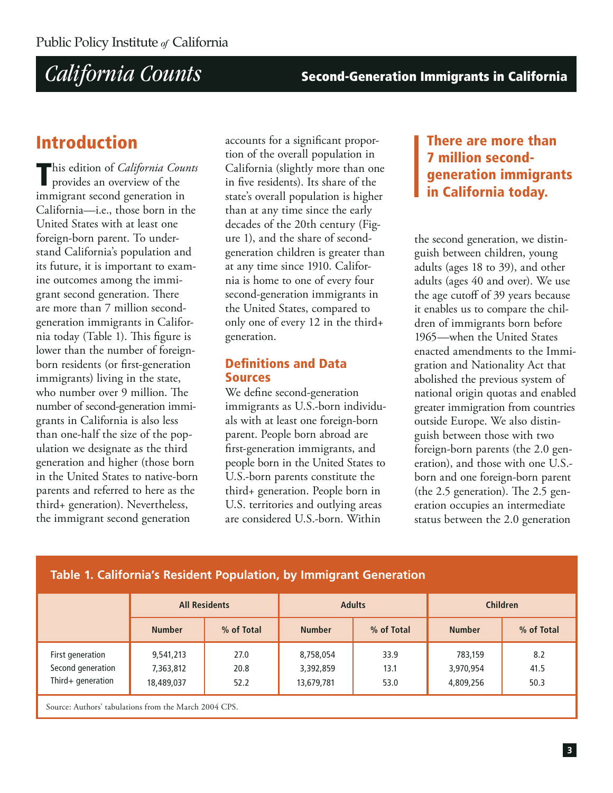**Second-Generation Immigrants in California** 

### **Introduction**

This edition of California Counts provides an overview of the immigrant second generation in California-i.e., those born in the United States with at least one foreign-born parent. To understand California's population and its future, it is important to examine outcomes among the immigrant second generation. There are more than 7 million secondgeneration immigrants in California today (Table 1). This figure is lower than the number of foreignborn residents (or first-generation immigrants) living in the state, who number over 9 million. The number of second-generation immigrants in California is also less than one-half the size of the population we designate as the third generation and higher (those born in the United States to native-born parents and referred to here as the third+ generation). Nevertheless, the immigrant second generation

accounts for a significant proportion of the overall population in California (slightly more than one in five residents). Its share of the state's overall population is higher than at any time since the early decades of the 20th century (Figure 1), and the share of secondgeneration children is greater than at any time since 1910. California is home to one of every four second-generation immigrants in the United States, compared to only one of every 12 in the third+ generation.

### **Definitions and Data Sources**

We define second-generation immigrants as U.S.-born individuals with at least one foreign-born parent. People born abroad are first-generation immigrants, and people born in the United States to U.S.-born parents constitute the third+ generation. People born in U.S. territories and outlying areas are considered U.S.-born. Within

### There are more than **7 million second**generation immigrants in California today.

the second generation, we distinguish between children, young adults (ages 18 to 39), and other adults (ages 40 and over). We use the age cutoff of 39 years because it enables us to compare the children of immigrants born before 1965—when the United States enacted amendments to the Immigration and Nationality Act that abolished the previous system of national origin quotas and enabled greater immigration from countries outside Europe. We also distinguish between those with two foreign-born parents (the 2.0 generation), and those with one U.S.born and one foreign-born parent (the 2.5 generation). The 2.5 generation occupies an intermediate status between the 2.0 generation

|                                                            | <b>All Residents</b>                 |                      |                                      | <b>Adults</b>        | <b>Children</b>                   |                     |
|------------------------------------------------------------|--------------------------------------|----------------------|--------------------------------------|----------------------|-----------------------------------|---------------------|
|                                                            | <b>Number</b>                        | % of Total           | <b>Number</b>                        | % of Total           | <b>Number</b>                     | % of Total          |
| First generation<br>Second generation<br>Third+ generation | 9,541,213<br>7,363,812<br>18,489,037 | 27.0<br>20.8<br>52.2 | 8,758,054<br>3,392,859<br>13,679,781 | 33.9<br>13.1<br>53.0 | 783,159<br>3,970,954<br>4,809,256 | 8.2<br>41.5<br>50.3 |
| Source: Authors' tabulations from the March 2004 CPS.      |                                      |                      |                                      |                      |                                   |                     |

### Table 1. California's Resident Population, by Immigrant Generation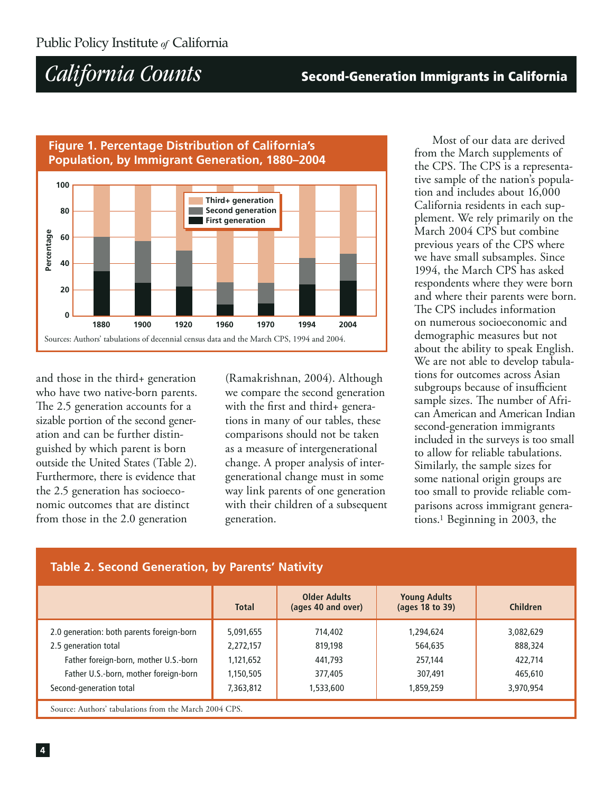### **Second-Generation Immigrants in California**



and those in the third+ generation who have two native-born parents. The 2.5 generation accounts for a sizable portion of the second generation and can be further distinguished by which parent is born outside the United States (Table 2). Furthermore, there is evidence that the 2.5 generation has socioeconomic outcomes that are distinct from those in the 2.0 generation

(Ramakrishnan, 2004). Although we compare the second generation with the first and third+ generations in many of our tables, these comparisons should not be taken as a measure of intergenerational change. A proper analysis of intergenerational change must in some way link parents of one generation with their children of a subsequent generation.

Most of our data are derived from the March supplements of the CPS. The CPS is a representative sample of the nation's population and includes about 16,000 California residents in each supplement. We rely primarily on the March 2004 CPS but combine previous years of the CPS where we have small subsamples. Since 1994, the March CPS has asked respondents where they were born and where their parents were born. The CPS includes information on numerous socioeconomic and demographic measures but not about the ability to speak English. We are not able to develop tabulations for outcomes across Asian subgroups because of insufficient sample sizes. The number of African American and American Indian second-generation immigrants included in the surveys is too small to allow for reliable tabulations. Similarly, the sample sizes for some national origin groups are too small to provide reliable comparisons across immigrant generations.<sup>1</sup> Beginning in 2003, the

| Table 2. Second Generation, by Parents' Nativity      |              |                                           |                                        |           |  |  |  |
|-------------------------------------------------------|--------------|-------------------------------------------|----------------------------------------|-----------|--|--|--|
|                                                       | <b>Total</b> | <b>Older Adults</b><br>(ages 40 and over) | <b>Young Adults</b><br>(ages 18 to 39) | Children  |  |  |  |
| 2.0 generation: both parents foreign-born             | 5,091,655    | 714,402                                   | 1,294,624                              | 3,082,629 |  |  |  |
| 2.5 generation total                                  | 2,272,157    | 819,198                                   | 564,635                                | 888,324   |  |  |  |
| Father foreign-born, mother U.S.-born                 | 1,121,652    | 441,793                                   | 257.144                                | 422,714   |  |  |  |
| Father U.S.-born, mother foreign-born                 | 1,150,505    | 377,405                                   | 307.491                                | 465,610   |  |  |  |
| Second-generation total                               | 7,363,812    | 1,533,600                                 | 1,859,259                              | 3,970,954 |  |  |  |
| Source: Authors' tabulations from the March 2004 CPS. |              |                                           |                                        |           |  |  |  |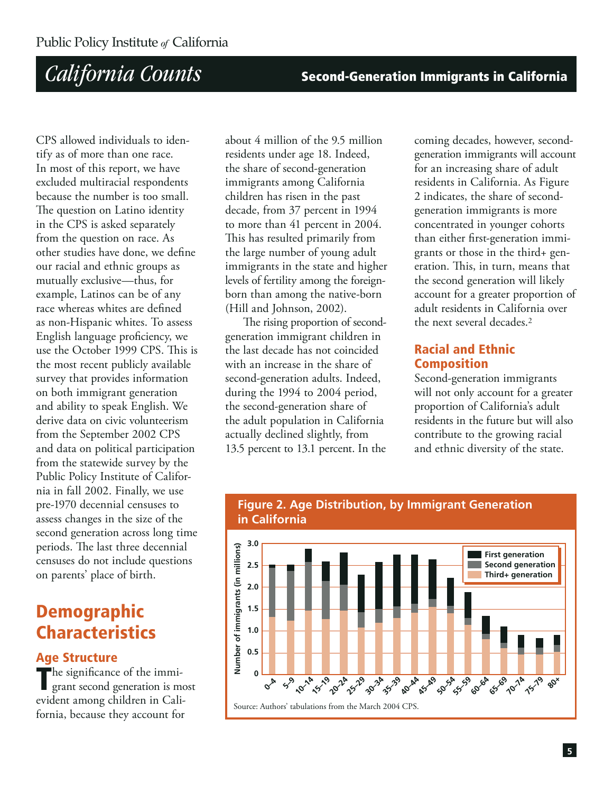**Second-Generation Immigrants in California** 

CPS allowed individuals to identify as of more than one race. In most of this report, we have excluded multiracial respondents because the number is too small. The question on Latino identity in the CPS is asked separately from the question on race. As other studies have done, we define our racial and ethnic groups as mutually exclusive-thus, for example, Latinos can be of any race whereas whites are defined as non-Hispanic whites. To assess English language proficiency, we use the October 1999 CPS. This is the most recent publicly available survey that provides information on both immigrant generation and ability to speak English. We derive data on civic volunteerism from the September 2002 CPS and data on political participation from the statewide survey by the Public Policy Institute of California in fall 2002. Finally, we use pre-1970 decennial censuses to assess changes in the size of the second generation across long time periods. The last three decennial censuses do not include questions on parents' place of birth.

### **Demographic Characteristics**

### **Age Structure**

The significance of the immigrant second generation is most evident among children in California, because they account for

about 4 million of the 9.5 million residents under age 18. Indeed, the share of second-generation immigrants among California children has risen in the past decade, from 37 percent in 1994 to more than 41 percent in 2004. This has resulted primarily from the large number of young adult immigrants in the state and higher levels of fertility among the foreignborn than among the native-born (Hill and Johnson, 2002).

The rising proportion of secondgeneration immigrant children in the last decade has not coincided with an increase in the share of second-generation adults. Indeed, during the 1994 to 2004 period, the second-generation share of the adult population in California actually declined slightly, from 13.5 percent to 13.1 percent. In the

coming decades, however, secondgeneration immigrants will account for an increasing share of adult residents in California. As Figure 2 indicates, the share of secondgeneration immigrants is more concentrated in younger cohorts than either first-generation immigrants or those in the third+ generation. This, in turn, means that the second generation will likely account for a greater proportion of adult residents in California over the next several decades.<sup>2</sup>

### **Racial and Ethnic Composition**

Second-generation immigrants will not only account for a greater proportion of California's adult residents in the future but will also contribute to the growing racial and ethnic diversity of the state.



#### **Figure 2. Age Distribution, by Immigrant Generation** in California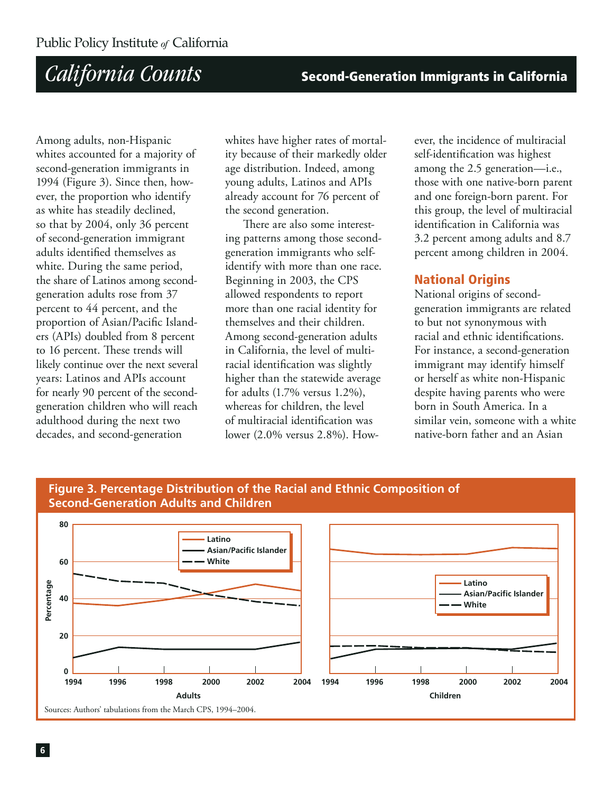**Second-Generation Immigrants in California** 

Among adults, non-Hispanic whites accounted for a majority of second-generation immigrants in 1994 (Figure 3). Since then, however, the proportion who identify as white has steadily declined, so that by 2004, only 36 percent of second-generation immigrant adults identified themselves as white. During the same period, the share of Latinos among secondgeneration adults rose from 37 percent to 44 percent, and the proportion of Asian/Pacific Islanders (APIs) doubled from 8 percent to 16 percent. These trends will likely continue over the next several years: Latinos and APIs account for nearly 90 percent of the secondgeneration children who will reach adulthood during the next two decades, and second-generation

whites have higher rates of mortality because of their markedly older age distribution. Indeed, among young adults, Latinos and APIs already account for 76 percent of the second generation.

There are also some interesting patterns among those secondgeneration immigrants who selfidentify with more than one race. Beginning in 2003, the CPS allowed respondents to report more than one racial identity for themselves and their children. Among second-generation adults in California, the level of multiracial identification was slightly higher than the statewide average for adults  $(1.7\%$  versus  $1.2\%$ ), whereas for children, the level of multiracial identification was lower (2.0% versus 2.8%). However, the incidence of multiracial self-identification was highest among the 2.5 generation-i.e., those with one native-born parent and one foreign-born parent. For this group, the level of multiracial identification in California was 3.2 percent among adults and 8.7 percent among children in 2004.

### **National Origins**

National origins of secondgeneration immigrants are related to but not synonymous with racial and ethnic identifications. For instance, a second-generation immigrant may identify himself or herself as white non-Hispanic despite having parents who were born in South America. In a similar vein, someone with a white native-born father and an Asian

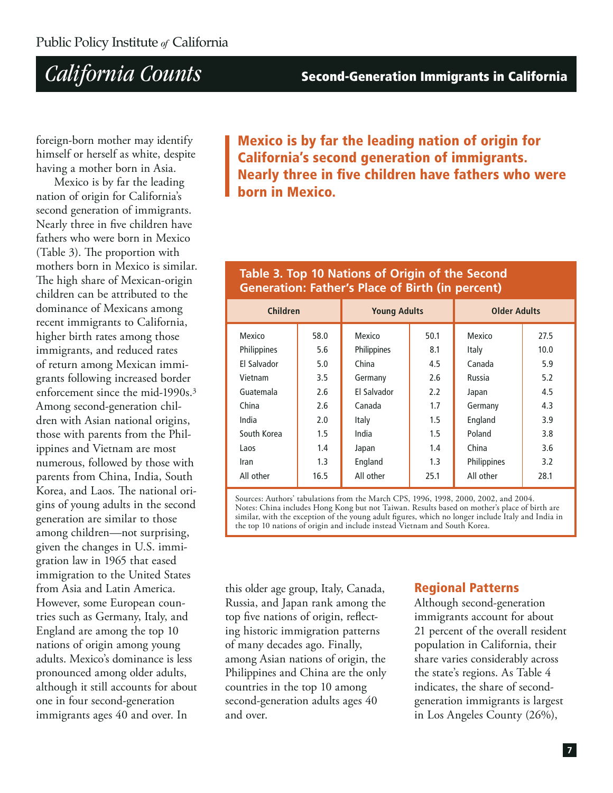**Second-Generation Immigrants in California** 

foreign-born mother may identify himself or herself as white, despite having a mother born in Asia.

Mexico is by far the leading nation of origin for California's second generation of immigrants. Nearly three in five children have fathers who were born in Mexico (Table 3). The proportion with mothers born in Mexico is similar. The high share of Mexican-origin children can be attributed to the dominance of Mexicans among recent immigrants to California, higher birth rates among those immigrants, and reduced rates of return among Mexican immigrants following increased border enforcement since the mid-1990s.<sup>3</sup> Among second-generation children with Asian national origins, those with parents from the Philippines and Vietnam are most numerous, followed by those with parents from China, India, South Korea, and Laos. The national origins of young adults in the second generation are similar to those among children—not surprising, given the changes in U.S. immigration law in 1965 that eased immigration to the United States from Asia and Latin America. However, some European countries such as Germany, Italy, and England are among the top 10 nations of origin among young adults. Mexico's dominance is less pronounced among older adults, although it still accounts for about one in four second-generation immigrants ages 40 and over. In

**Mexico is by far the leading nation of origin for California's second generation of immigrants.** Nearly three in five children have fathers who were born in Mexico.

### Table 3. Top 10 Nations of Origin of the Second **Generation: Father's Place of Birth (in percent)**

|                    | <b>Children</b><br><b>Young Adults</b> |                    |      | <b>Older Adults</b> |      |
|--------------------|----------------------------------------|--------------------|------|---------------------|------|
| <b>Mexico</b>      | 58.0                                   | Mexico             | 50.1 | Mexico              | 27.5 |
| Philippines        | 5.6                                    | Philippines        | 8.1  | Italy               | 10.0 |
| <b>Fl Salvador</b> | 5.0                                    | China              | 4.5  | Canada              | 5.9  |
| Vietnam            | 3.5                                    | Germany            | 2.6  | Russia              | 5.2  |
| Guatemala          | 2.6                                    | <b>Fl Salvador</b> | 2.2  | Japan               | 4.5  |
| China              | 2.6                                    | Canada             | 1.7  | Germany             | 4.3  |
| India              | 2.0                                    | Italy              | 1.5  | England             | 3.9  |
| South Korea        | 1.5                                    | India              | 1.5  | Poland              | 3.8  |
| Laos               | 1.4                                    | Japan              | 1.4  | China               | 3.6  |
| Iran               | 1.3                                    | England            | 1.3  | Philippines         | 3.2  |
| All other          | 16.5                                   | All other          | 25.1 | All other           | 28.1 |

Sources: Authors' tabulations from the March CPS, 1996, 1998, 2000, 2002, and 2004. Notes: China includes Hong Kong but not Taiwan. Results based on mother's place of birth are similar, with the exception of the young adult figures, which no longer include Italy and India in the top 10 nations of origin and include instead Vietnam and South Korea.

this older age group, Italy, Canada, Russia, and Japan rank among the top five nations of origin, reflecting historic immigration patterns of many decades ago. Finally, among Asian nations of origin, the Philippines and China are the only countries in the top 10 among second-generation adults ages 40 and over.

### **Regional Patterns**

Although second-generation immigrants account for about 21 percent of the overall resident population in California, their share varies considerably across the state's regions. As Table 4 indicates, the share of secondgeneration immigrants is largest in Los Angeles County (26%),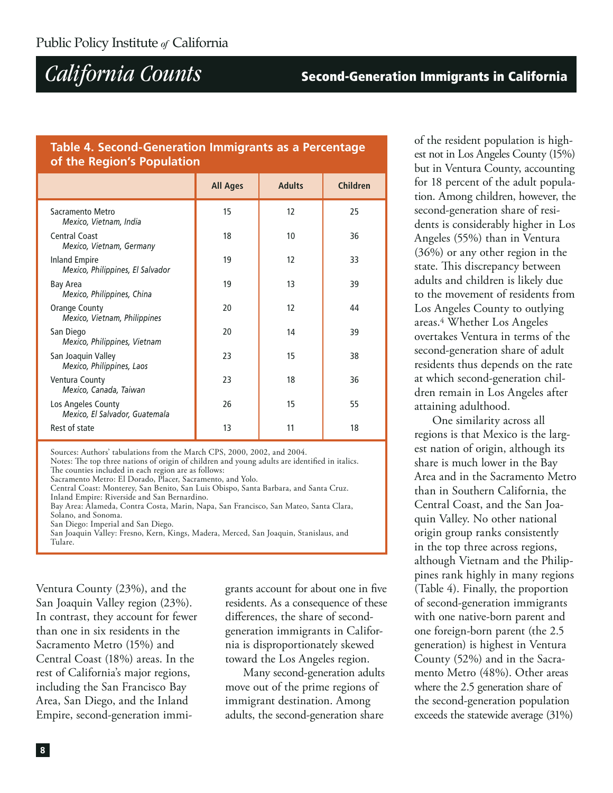#### Table 4. Second-Generation Immigrants as a Percentage of the Region's Population

|                                                          | <b>All Ages</b> | <b>Adults</b> | <b>Children</b> |
|----------------------------------------------------------|-----------------|---------------|-----------------|
| Sacramento Metro<br>Mexico, Vietnam, India               | 15              | 12            | 25              |
| Central Coast<br>Mexico, Vietnam, Germany                | 18              | 10            | 36              |
| <b>Inland Empire</b><br>Mexico, Philippines, El Salvador | 19              | 12            | 33              |
| Bay Area<br>Mexico, Philippines, China                   | 19              | 13            | 39              |
| Orange County<br>Mexico, Vietnam, Philippines            | 20              | 12            | 44              |
| San Diego<br>Mexico, Philippines, Vietnam                | 20              | 14            | 39              |
| San Joaquin Valley<br>Mexico, Philippines, Laos          | 23              | 15            | 38              |
| Ventura County<br>Mexico, Canada, Taiwan                 | 23              | 18            | 36              |
| Los Angeles County<br>Mexico, El Salvador, Guatemala     | 26              | 15            | 55              |
| Rest of state                                            | 13              | 11            | 18              |

Sources: Authors' tabulations from the March CPS, 2000, 2002, and 2004.

Notes: The top three nations of origin of children and young adults are identified in italics. The counties included in each region are as follows:

Sacramento Metro: El Dorado, Placer, Sacramento, and Yolo.

Central Coast: Monterey, San Benito, San Luis Obispo, Santa Barbara, and Santa Cruz.

Inland Empire: Riverside and San Bernardino.

Bay Area: Alameda, Contra Costa, Marin, Napa, San Francisco, San Mateo, Santa Clara, Solano, and Sonoma.

San Diego: Imperial and San Diego.

San Joaquin Valley: Fresno, Kern, Kings, Madera, Merced, San Joaquin, Stanislaus, and Tulare.

Ventura County (23%), and the San Joaquin Valley region (23%). In contrast, they account for fewer than one in six residents in the Sacramento Metro (15%) and Central Coast (18%) areas. In the rest of California's major regions, including the San Francisco Bay Area, San Diego, and the Inland Empire, second-generation immigrants account for about one in five residents. As a consequence of these differences, the share of secondgeneration immigrants in California is disproportionately skewed toward the Los Angeles region.

Many second-generation adults move out of the prime regions of immigrant destination. Among adults, the second-generation share

of the resident population is highest not in Los Angeles County (15%) but in Ventura County, accounting for 18 percent of the adult population. Among children, however, the second-generation share of residents is considerably higher in Los Angeles (55%) than in Ventura  $(36%)$  or any other region in the state. This discrepancy between adults and children is likely due to the movement of residents from Los Angeles County to outlying areas.<sup>4</sup> Whether Los Angeles overtakes Ventura in terms of the second-generation share of adult residents thus depends on the rate at which second-generation children remain in Los Angeles after attaining adulthood.

One similarity across all regions is that Mexico is the largest nation of origin, although its share is much lower in the Bay Area and in the Sacramento Metro than in Southern California, the Central Coast, and the San Joaquin Valley. No other national origin group ranks consistently in the top three across regions, although Vietnam and the Philippines rank highly in many regions (Table 4). Finally, the proportion of second-generation immigrants with one native-born parent and one foreign-born parent (the 2.5 generation) is highest in Ventura County (52%) and in the Sacramento Metro (48%). Other areas where the 2.5 generation share of the second-generation population exceeds the statewide average (31%)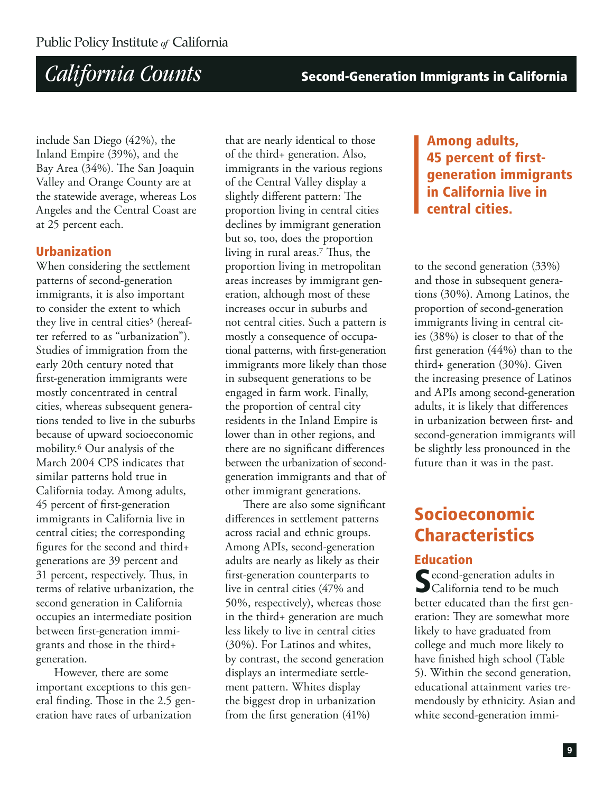**Second-Generation Immigrants in California** 

include San Diego (42%), the Inland Empire (39%), and the Bay Area (34%). The San Joaquin Valley and Orange County are at the statewide average, whereas Los Angeles and the Central Coast are at 25 percent each.

### **Urbanization**

When considering the settlement patterns of second-generation immigrants, it is also important to consider the extent to which they live in central cities<sup>5</sup> (hereafter referred to as "urbanization"). Studies of immigration from the early 20th century noted that first-generation immigrants were mostly concentrated in central cities, whereas subsequent generations tended to live in the suburbs because of upward socioeconomic mobility.<sup>6</sup> Our analysis of the March 2004 CPS indicates that similar patterns hold true in California today. Among adults, 45 percent of first-generation immigrants in California live in central cities; the corresponding figures for the second and third+ generations are 39 percent and 31 percent, respectively. Thus, in terms of relative urbanization, the second generation in California occupies an intermediate position between first-generation immigrants and those in the third+ generation.

However, there are some important exceptions to this general finding. Those in the 2.5 generation have rates of urbanization

that are nearly identical to those of the third+ generation. Also, immigrants in the various regions of the Central Valley display a slightly different pattern: The proportion living in central cities declines by immigrant generation but so, too, does the proportion living in rural areas.<sup>7</sup> Thus, the proportion living in metropolitan areas increases by immigrant generation, although most of these increases occur in suburbs and not central cities. Such a pattern is mostly a consequence of occupational patterns, with first-generation immigrants more likely than those in subsequent generations to be engaged in farm work. Finally, the proportion of central city residents in the Inland Empire is lower than in other regions, and there are no significant differences between the urbanization of secondgeneration immigrants and that of other immigrant generations.

There are also some significant differences in settlement patterns across racial and ethnic groups. Among APIs, second-generation adults are nearly as likely as their first-generation counterparts to live in central cities (47% and 50%, respectively), whereas those in the third+ generation are much less likely to live in central cities (30%). For Latinos and whites, by contrast, the second generation displays an intermediate settlement pattern. Whites display the biggest drop in urbanization from the first generation  $(41\%)$ 

### Among adults, 45 percent of firstgeneration immigrants in California live in central cities.

to the second generation  $(33%)$ and those in subsequent generations (30%). Among Latinos, the proportion of second-generation immigrants living in central cities (38%) is closer to that of the first generation  $(44%)$  than to the third+ generation (30%). Given the increasing presence of Latinos and APIs among second-generation adults, it is likely that differences in urbanization between first- and second-generation immigrants will be slightly less pronounced in the future than it was in the past.

### Socioeconomic **Characteristics**

#### **Education**

Second-generation adults in<br>Scalifornia tend to be much better educated than the first generation: They are somewhat more likely to have graduated from college and much more likely to have finished high school (Table 5). Within the second generation, educational attainment varies tremendously by ethnicity. Asian and white second-generation immi-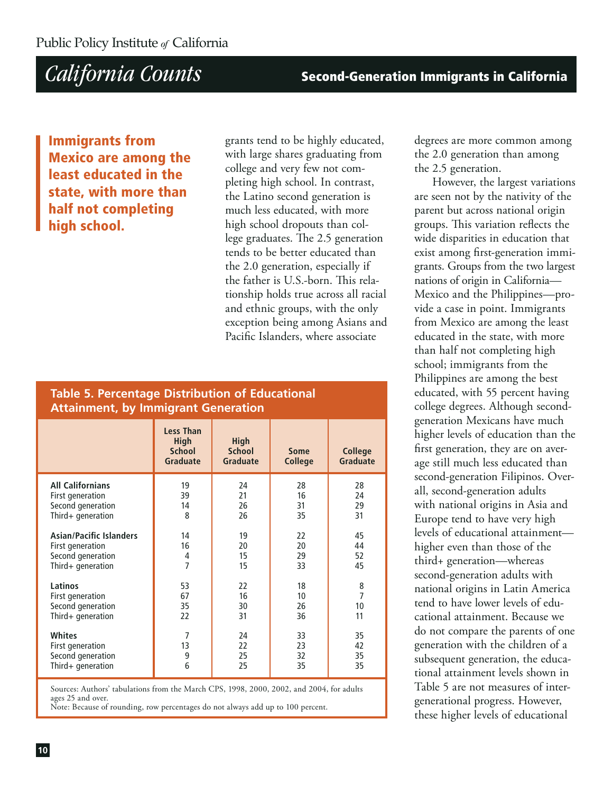**Immigrants from Mexico are among the** least educated in the state, with more than half not completing hiah school.

grants tend to be highly educated, with large shares graduating from college and very few not completing high school. In contrast, the Latino second generation is much less educated, with more high school dropouts than college graduates. The 2.5 generation tends to be better educated than the 2.0 generation, especially if the father is U.S.-born. This relationship holds true across all racial and ethnic groups, with the only exception being among Asians and Pacific Islanders, where associate

### **Table 5. Percentage Distribution of Educational Attainment, by Immigrant Generation**

|                                | <b>Less Than</b><br>High<br><b>School</b><br><b>Graduate</b> | <b>High</b><br><b>School</b><br><b>Graduate</b> | <b>Some</b><br><b>College</b> | <b>College</b><br><b>Graduate</b> |
|--------------------------------|--------------------------------------------------------------|-------------------------------------------------|-------------------------------|-----------------------------------|
| <b>All Californians</b>        | 19                                                           | 24                                              | 28                            | 28                                |
| First generation               | 39                                                           | 21                                              | 16                            | 24                                |
| Second generation              | 14                                                           | 26                                              | 31                            | 29                                |
| Third+ generation              | 8                                                            | 26                                              | 35                            | 31                                |
| <b>Asian/Pacific Islanders</b> | 14                                                           | 19                                              | 22                            | 45                                |
| First generation               | 16                                                           | 20                                              | 20                            | 44                                |
| Second generation              | 4                                                            | 15                                              | 29                            | 52                                |
| Third+ generation              | 7                                                            | 15                                              | 33                            | 45                                |
| Latinos                        | 53                                                           | 22                                              | 18                            | 8                                 |
| First generation               | 67                                                           | 16                                              | 10                            | $\overline{7}$                    |
| Second generation              | 35                                                           | 30                                              | 26                            | 10                                |
| Third+ generation              | 22                                                           | 31                                              | 36                            | 11                                |
| <b>Whites</b>                  | $\overline{7}$                                               | 24                                              | 33                            | 35                                |
| First generation               | 13                                                           | 22                                              | 23                            | 42                                |
| Second generation              | 9                                                            | 25                                              | 32                            | 35                                |
| Third+ generation              | 6                                                            | 25                                              | 35                            | 35                                |

Sources: Authors' tabulations from the March CPS, 1998, 2000, 2002, and 2004, for adults ages 25 and over.

Note: Because of rounding, row percentages do not always add up to 100 percent.

degrees are more common among the 2.0 generation than among the 2.5 generation.

However, the largest variations are seen not by the nativity of the parent but across national origin groups. This variation reflects the wide disparities in education that exist among first-generation immigrants. Groups from the two largest nations of origin in California-Mexico and the Philippines-provide a case in point. Immigrants from Mexico are among the least educated in the state, with more than half not completing high school; immigrants from the Philippines are among the best educated, with 55 percent having college degrees. Although secondgeneration Mexicans have much higher levels of education than the first generation, they are on average still much less educated than second-generation Filipinos. Overall, second-generation adults with national origins in Asia and Europe tend to have very high levels of educational attainmenthigher even than those of the third+ generation—whereas second-generation adults with national origins in Latin America tend to have lower levels of educational attainment. Because we do not compare the parents of one generation with the children of a subsequent generation, the educational attainment levels shown in Table 5 are not measures of intergenerational progress. However, these higher levels of educational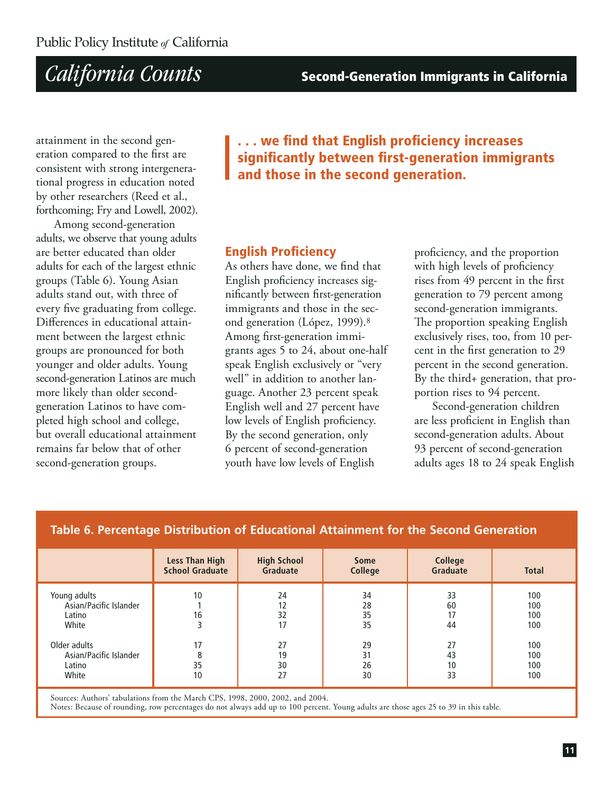**Second-Generation Immigrants in California** 

attainment in the second generation compared to the first are consistent with strong intergenerational progress in education noted by other researchers (Reed et al., forthcoming; Fry and Lowell, 2002).

Among second-generation adults, we observe that young adults are better educated than older adults for each of the largest ethnic groups (Table 6). Young Asian adults stand out, with three of every five graduating from college. Differences in educational attainment between the largest ethnic groups are pronounced for both younger and older adults. Young second-generation Latinos are much more likely than older secondgeneration Latinos to have completed high school and college, but overall educational attainment remains far helow that of other second-generation groups.

... we find that English proficiency increases significantly between first-generation immigrants and those in the second generation.

### **English Proficiency**

As others have done, we find that English proficiency increases significantly between first-generation immigrants and those in the second generation (López, 1999).<sup>8</sup> Among first-generation immigrants ages 5 to 24, about one-half speak English exclusively or "very well" in addition to another language. Another 23 percent speak English well and 27 percent have low levels of English proficiency. By the second generation, only 6 percent of second-generation youth have low levels of English

proficiency, and the proportion with high levels of proficiency rises from 49 percent in the first generation to 79 percent among second-generation immigrants. The proportion speaking English exclusively rises, too, from 10 percent in the first generation to 29 percent in the second generation. By the third+ generation, that proportion rises to 94 percent.

Second-generation children are less proficient in English than second-generation adults. About 93 percent of second-generation adults ages 18 to 24 speak English

|                                                           | <b>Less Than High</b><br><b>School Graduate</b> | <b>High School</b><br><b>Graduate</b> | <b>Some</b><br><b>College</b> | <b>College</b><br><b>Graduate</b> | <b>Total</b>             |
|-----------------------------------------------------------|-------------------------------------------------|---------------------------------------|-------------------------------|-----------------------------------|--------------------------|
| Young adults<br>Asian/Pacific Islander<br>Latino<br>White | 10<br>16                                        | 24<br>12<br>32<br>17                  | 34<br>28<br>35<br>35          | 33<br>60<br>17<br>44              | 100<br>100<br>100<br>100 |
| Older adults<br>Asian/Pacific Islander<br>Latino<br>White | 17<br>35<br>10                                  | 27<br>19<br>30<br>27                  | 29<br>31<br>26<br>30          | 27<br>43<br>10<br>33              | 100<br>100<br>100<br>100 |

### Table 6. Percentage Distribution of Educational Attainment for the Second Generation

Sources: Authors' tabulations from the March CPS, 1998, 2000, 2002, and 2004.

Notes: Because of rounding, row percentages do not always add up to 100 percent. Young adults are those ages 25 to 39 in this table.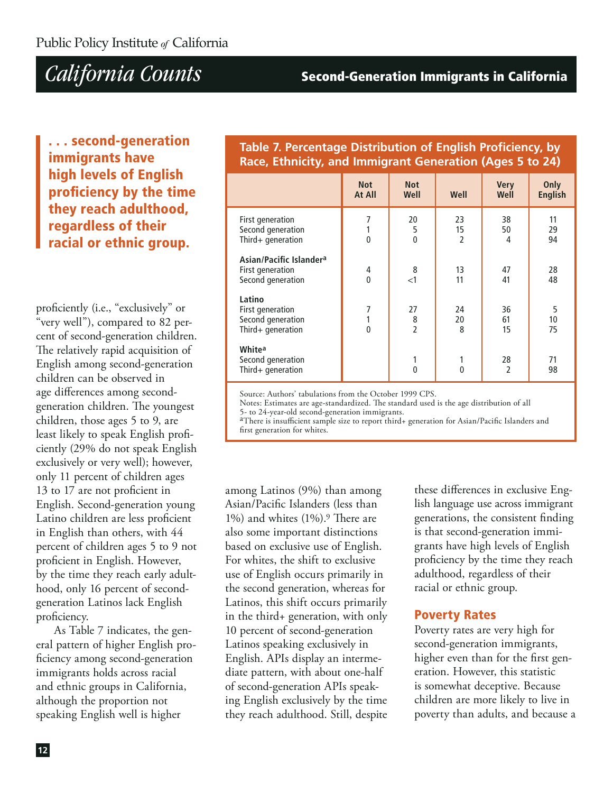### **Second-Generation Immigrants in California**

... second-generation immigrants have high levels of English proficiency by the time they reach adulthood, regardless of their racial or ethnic group.

proficiently (i.e., "exclusively" or "very well"), compared to 82 percent of second-generation children. The relatively rapid acquisition of English among second-generation children can be observed in age differences among secondgeneration children. The youngest children, those ages 5 to 9, are least likely to speak English proficiently (29% do not speak English exclusively or very well); however, only 11 percent of children ages 13 to 17 are not proficient in English. Second-generation young Latino children are less proficient in English than others, with 44 percent of children ages 5 to 9 not proficient in English. However, by the time they reach early adulthood, only 16 percent of secondgeneration Latinos lack English proficiency.

As Table 7 indicates, the general pattern of higher English proficiency among second-generation immigrants holds across racial and ethnic groups in California, although the proportion not speaking English well is higher

### Table 7. Percentage Distribution of English Proficiency, by Race, Ethnicity, and Immigrant Generation (Ages 5 to 24)

|                                                                              | <b>Not</b><br>At All | <b>Not</b><br>Well                          | Well                       | <b>Very</b><br>Well  | Only<br><b>English</b> |
|------------------------------------------------------------------------------|----------------------|---------------------------------------------|----------------------------|----------------------|------------------------|
| First generation<br>Second generation<br>Third+ generation                   | 7<br>$\mathbf{0}$    | 20<br>5<br>$\overline{0}$                   | 23<br>15<br>$\overline{2}$ | 38<br>50<br>4        | 11<br>29<br>94         |
| Asian/Pacific Islander <sup>a</sup><br>First generation<br>Second generation | 4<br>$\mathbf{0}$    | 8<br>$\leq$ 1                               | 13<br>11                   | 47<br>41             | 28<br>48               |
| Latino<br>First generation<br>Second generation<br>Third+ generation         | 7<br>$\mathbf{0}$    | 27<br>$\begin{array}{c} 8 \\ 2 \end{array}$ | 24<br>20<br>8              | 36<br>61<br>15       | 5<br>10<br>75          |
| Whitea<br>Second generation<br>Third+ generation                             |                      | 1<br>$\overline{0}$                         | 1<br>$\overline{0}$        | 28<br>$\overline{2}$ | 71<br>98               |

Source: Authors' tabulations from the October 1999 CPS.

Notes: Estimates are age-standardized. The standard used is the age distribution of all 5- to 24-year-old second-generation immigrants.

<sup>a</sup>There is insufficient sample size to report third+ generation for Asian/Pacific Islanders and first generation for whites.

among Latinos (9%) than among Asian/Pacific Islanders (less than 1%) and whites (1%).<sup>9</sup> There are also some important distinctions based on exclusive use of English. For whites, the shift to exclusive use of English occurs primarily in the second generation, whereas for Latinos, this shift occurs primarily in the third+ generation, with only 10 percent of second-generation Latinos speaking exclusively in English. APIs display an intermediate pattern, with about one-half of second-generation APIs speaking English exclusively by the time they reach adulthood. Still, despite

these differences in exclusive English language use across immigrant generations, the consistent finding is that second-generation immigrants have high levels of English proficiency by the time they reach adulthood, regardless of their racial or ethnic group.

### **Poverty Rates**

Poverty rates are very high for second-generation immigrants, higher even than for the first generation. However, this statistic is somewhat deceptive. Because children are more likely to live in poverty than adults, and because a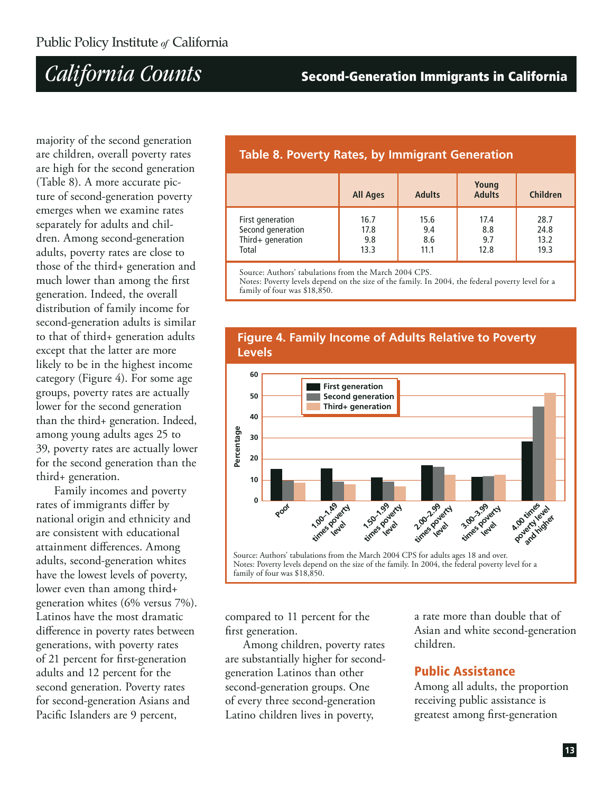### **Second-Generation Immigrants in California**

majority of the second generation are children, overall poverty rates are high for the second generation (Table 8). A more accurate picture of second-generation poverty emerges when we examine rates separately for adults and children. Among second-generation adults, poverty rates are close to those of the third+ generation and much lower than among the first generation. Indeed, the overall distribution of family income for second-generation adults is similar to that of third+ generation adults except that the latter are more likely to be in the highest income category (Figure 4). For some age groups, poverty rates are actually lower for the second generation than the third+ generation. Indeed, among young adults ages 25 to 39, poverty rates are actually lower for the second generation than the third+ generation.

Family incomes and poverty rates of immigrants differ by national origin and ethnicity and are consistent with educational attainment differences. Among adults, second-generation whites have the lowest levels of poverty, lower even than among third+ generation whites  $(6\%$  versus  $7\%)$ . Latinos have the most dramatic difference in poverty rates between generations, with poverty rates of 21 percent for first-generation adults and 12 percent for the second generation. Poverty rates for second-generation Asians and Pacific Islanders are 9 percent,

### **Table 8. Poverty Rates, by Immigrant Generation**

|                   | <b>All Ages</b> | <b>Adults</b> | Young<br><b>Adults</b> | <b>Children</b> |
|-------------------|-----------------|---------------|------------------------|-----------------|
| First generation  | 16.7            | 15.6          | 17.4                   | 28.7            |
| Second generation | 17.8            | 9.4           | 8.8                    | 24.8            |
| Third+ generation | 9.8             | 8.6           | 9.7                    | 13.2            |
| Total             | 13.3            | 11.1          | 12.8                   | 19.3            |

Source: Authors' tabulations from the March 2004 CPS.

Notes: Poverty levels depend on the size of the family. In 2004, the federal poverty level for a family of four was \$18,850.



#### **Figure 4. Family Income of Adults Relative to Poverty Levels**

compared to 11 percent for the first generation.

Among children, poverty rates are substantially higher for secondgeneration Latinos than other second-generation groups. One of every three second-generation Latino children lives in poverty,

a rate more than double that of Asian and white second-generation children.

### **Public Assistance**

Among all adults, the proportion receiving public assistance is greatest among first-generation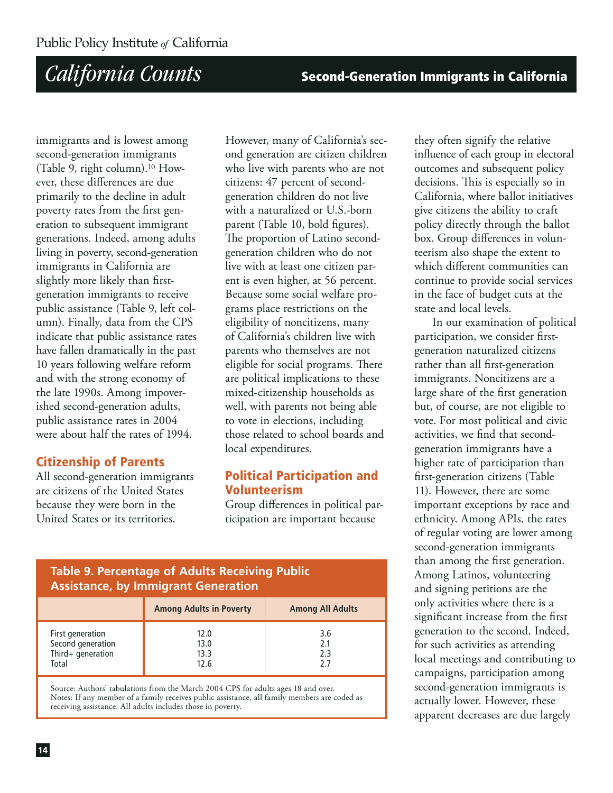**Second-Generation Immigrants in California** 

immigrants and is lowest among second-generation immigrants (Table 9, right column).<sup>10</sup> However, these differences are due primarily to the decline in adult poverty rates from the first generation to subsequent immigrant generations. Indeed, among adults living in poverty, second-generation immigrants in California are slightly more likely than firstgeneration immigrants to receive public assistance (Table 9, left column). Finally, data from the CPS indicate that public assistance rates have fallen dramatically in the past 10 years following welfare reform and with the strong economy of the late 1990s. Among impoverished second-generation adults, public assistance rates in 2004 were about half the rates of 1994.

### **Citizenship of Parents**

All second-generation immigrants are citizens of the United States because they were born in the United States or its territories.

However, many of California's second generation are citizen children who live with parents who are not citizens: 47 percent of secondgeneration children do not live with a naturalized or U.S.-born parent (Table 10, bold figures). The proportion of Latino secondgeneration children who do not live with at least one citizen parent is even higher, at 56 percent. Because some social welfare programs place restrictions on the eligibility of noncitizens, many of California's children live with parents who themselves are not eligible for social programs. There are political implications to these mixed-citizenship households as well, with parents not being able to vote in elections, including those related to school boards and local expenditures.

### **Political Participation and Volunteerism**

Group differences in political participation are important because

### **Table 9. Percentage of Adults Receiving Public Assistance, by Immigrant Generation**

|                                                                     | <b>Among Adults in Poverty</b> | <b>Among All Adults</b>  |
|---------------------------------------------------------------------|--------------------------------|--------------------------|
| First generation<br>Second generation<br>Third+ generation<br>Total | 12.0<br>13.0<br>13.3<br>12.6   | 3.6<br>2.1<br>2.3<br>: כ |

Source: Authors' tabulations from the March 2004 CPS for adults ages 18 and over. Notes: If any member of a family receives public assistance, all family members are coded as receiving assistance. All adults includes those in poverty.

they often signify the relative influence of each group in electoral outcomes and subsequent policy decisions. This is especially so in California, where ballot initiatives give citizens the ability to craft policy directly through the ballot box. Group differences in volunteerism also shape the extent to which different communities can continue to provide social services in the face of budget cuts at the state and local levels.

In our examination of political participation, we consider firstgeneration naturalized citizens rather than all first-generation immigrants. Noncitizens are a large share of the first generation but, of course, are not eligible to vote. For most political and civic activities, we find that secondgeneration immigrants have a higher rate of participation than first-generation citizens (Table 11). However, there are some important exceptions by race and ethnicity. Among APIs, the rates of regular voting are lower among second-generation immigrants than among the first generation. Among Latinos, volunteering and signing petitions are the only activities where there is a significant increase from the first generation to the second. Indeed, for such activities as attending local meetings and contributing to campaigns, participation among second-generation immigrants is actually lower. However, these apparent decreases are due largely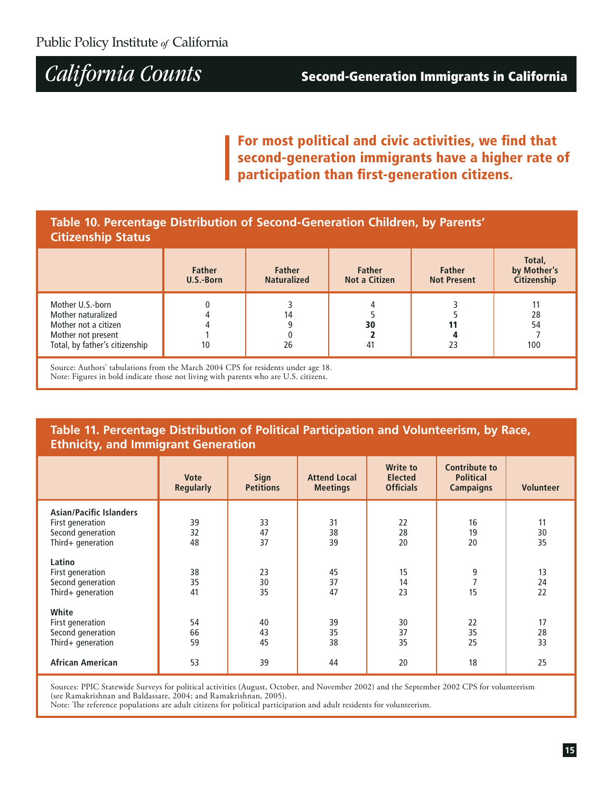For most political and civic activities, we find that second-generation immigrants have a higher rate of participation than first-generation citizens.

### Table 10. Percentage Distribution of Second-Generation Children, by Parents' **Citizenship Status**

|                                                                                                                        | <b>Father</b><br>U.S.-Born | <b>Father</b><br><b>Naturalized</b> | <b>Father</b><br>Not a Citizen | <b>Father</b><br><b>Not Present</b> | Total,<br>by Mother's<br>Citizenship |
|------------------------------------------------------------------------------------------------------------------------|----------------------------|-------------------------------------|--------------------------------|-------------------------------------|--------------------------------------|
| Mother U.S.-born<br>Mother naturalized<br>Mother not a citizen<br>Mother not present<br>Total, by father's citizenship | 10                         | 14<br>26                            | 30<br>41                       | 23                                  | 28<br>54<br>100                      |

Source: Authors' tabulations from the March 2004 CPS for residents under age 18. Note: Figures in bold indicate those not living with parents who are U.S. citizens.

### Table 11. Percentage Distribution of Political Participation and Volunteerism, by Race, **Ethnicity, and Immigrant Generation**

|                                                                                              | <b>Vote</b><br><b>Regularly</b> | Sign<br><b>Petitions</b> | <b>Attend Local</b><br><b>Meetings</b> | <b>Write to</b><br><b>Elected</b><br><b>Officials</b> | <b>Contribute to</b><br><b>Political</b><br><b>Campaigns</b> | <b>Volunteer</b> |
|----------------------------------------------------------------------------------------------|---------------------------------|--------------------------|----------------------------------------|-------------------------------------------------------|--------------------------------------------------------------|------------------|
| <b>Asian/Pacific Islanders</b><br>First generation<br>Second generation<br>Third+ generation | 39<br>32<br>48                  | 33<br>47<br>37           | 31<br>38<br>39                         | 22<br>28<br>20                                        | 16<br>19<br>20                                               | 11<br>30<br>35   |
| Latino<br>First generation<br>Second generation<br>Third+ generation                         | 38<br>35<br>41                  | 23<br>30<br>35           | 45<br>37<br>47                         | 15<br>14<br>23                                        | 9<br>15                                                      | 13<br>24<br>22   |
| White<br>First generation<br>Second generation<br>Third+ generation                          | 54<br>66<br>59                  | 40<br>43<br>45           | 39<br>35<br>38                         | 30<br>37<br>35                                        | 22<br>35<br>25                                               | 17<br>28<br>33   |
| <b>African American</b>                                                                      | 53                              | 39                       | 44                                     | 20                                                    | 18                                                           | 25               |

Sources: PPIC Statewide Surveys for political activities (August, October, and November 2002) and the September 2002 CPS for volunteerism (see Ramakrishnan and Baldassare, 2004; and Ramakrishnan, 2005).

Note: The reference populations are adult citizens for political participation and adult residents for volunteerism.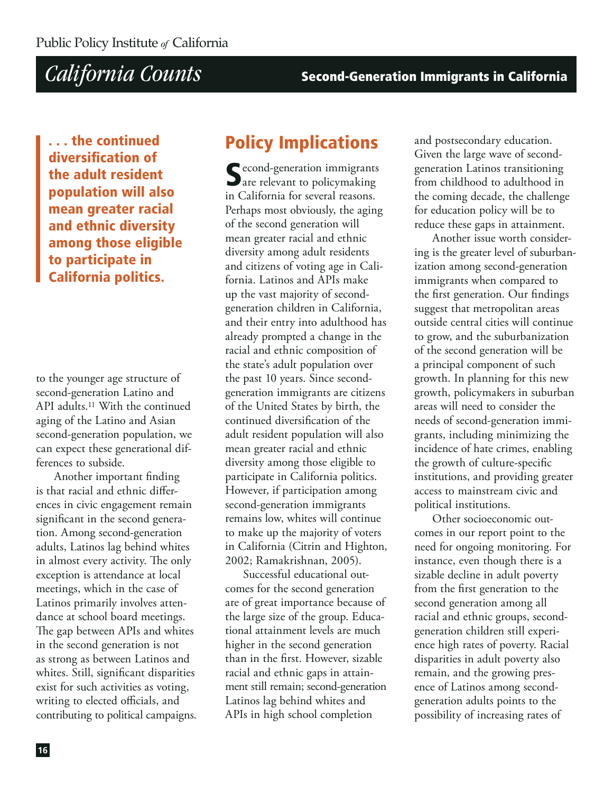... the continued diversification of the adult resident population will also mean greater racial and ethnic diversity among those eligible to participate in **California politics.** 

to the younger age structure of second-generation Latino and API adults.<sup>11</sup> With the continued aging of the Latino and Asian second-generation population, we can expect these generational differences to subside.

Another important finding is that racial and ethnic differences in civic engagement remain significant in the second generation. Among second-generation adults, Latinos lag behind whites in almost every activity. The only exception is attendance at local meetings, which in the case of Latinos primarily involves attendance at school board meetings. The gap between APIs and whites in the second generation is not as strong as between Latinos and whites. Still, significant disparities exist for such activities as voting, writing to elected officials, and contributing to political campaigns.

### **Policy Implications**

Cecond-generation immigrants are relevant to policymaking in California for several reasons. Perhaps most obviously, the aging of the second generation will mean greater racial and ethnic diversity among adult residents and citizens of voting age in California. Latinos and APIs make up the vast majority of secondgeneration children in California, and their entry into adulthood has already prompted a change in the racial and ethnic composition of the state's adult population over the past 10 years. Since secondgeneration immigrants are citizens of the United States by birth, the continued diversification of the adult resident population will also mean greater racial and ethnic diversity among those eligible to participate in California politics. However, if participation among second-generation immigrants remains low, whites will continue to make up the majority of voters in California (Citrin and Highton, 2002; Ramakrishnan, 2005).

Successful educational outcomes for the second generation are of great importance because of the large size of the group. Educational attainment levels are much higher in the second generation than in the first. However, sizable racial and ethnic gaps in attainment still remain; second-generation Latinos lag behind whites and APIs in high school completion

and postsecondary education. Given the large wave of secondgeneration Latinos transitioning from childhood to adulthood in the coming decade, the challenge for education policy will be to reduce these gaps in attainment.

Another issue worth considering is the greater level of suburbanization among second-generation immigrants when compared to the first generation. Our findings suggest that metropolitan areas outside central cities will continue to grow, and the suburbanization of the second generation will be a principal component of such growth. In planning for this new growth, policymakers in suburban areas will need to consider the needs of second-generation immigrants, including minimizing the incidence of hate crimes, enabling the growth of culture-specific institutions, and providing greater access to mainstream civic and political institutions.

Other socioeconomic outcomes in our report point to the need for ongoing monitoring. For instance, even though there is a sizable decline in adult poverty from the first generation to the second generation among all racial and ethnic groups, secondgeneration children still experience high rates of poverty. Racial disparities in adult poverty also remain, and the growing presence of Latinos among secondgeneration adults points to the possibility of increasing rates of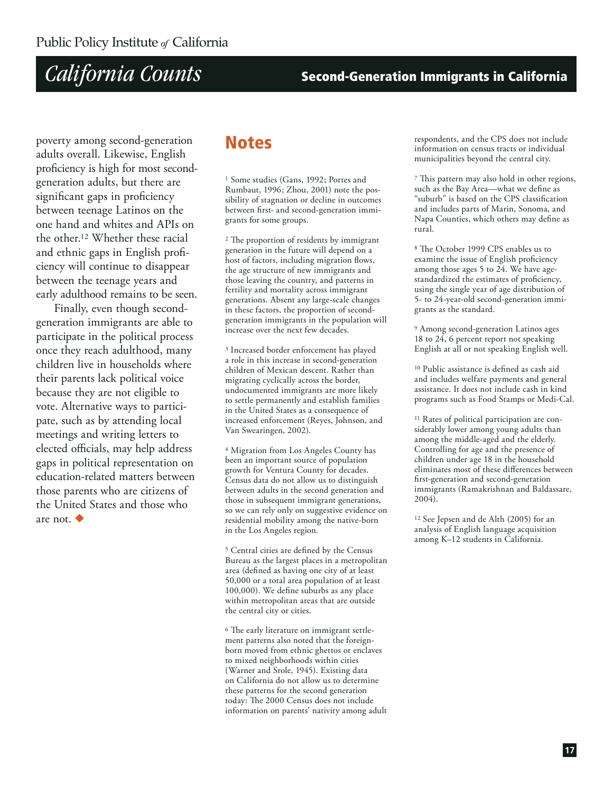### **Second-Generation Immigrants in California**

poverty among second-generation adults overall. Likewise, English proficiency is high for most secondgeneration adults, but there are significant gaps in proficiency between teenage Latinos on the one hand and whites and APIs on the other.<sup>12</sup> Whether these racial and ethnic gaps in English proficiency will continue to disappear between the teenage years and early adulthood remains to be seen.

Finally, even though secondgeneration immigrants are able to participate in the political process once they reach adulthood, many children live in households where their parents lack political voice because they are not eligible to vote. Alternative ways to participate, such as by attending local meetings and writing letters to elected officials, may help address gaps in political representation on education-related matters between those parents who are citizens of the United States and those who are not.  $\blacklozenge$ 

### **Notes**

<sup>1</sup> Some studies (Gans, 1992; Portes and Rumbaut, 1996; Zhou, 2001) note the possibility of stagnation or decline in outcomes between first- and second-generation immigrants for some groups.

<sup>2</sup> The proportion of residents by immigrant generation in the future will depend on a host of factors, including migration flows, the age structure of new immigrants and those leaving the country, and patterns in fertility and mortality across immigrant generations. Absent any large-scale changes in these factors, the proportion of secondgeneration immigrants in the population will increase over the next few decades.

<sup>3</sup> Increased border enforcement has played a role in this increase in second-generation children of Mexican descent. Rather than migrating cyclically across the border, undocumented immigrants are more likely to settle permanently and establish families in the United States as a consequence of increased enforcement (Reves, Johnson, and Van Swearingen, 2002).

<sup>4</sup> Migration from Los Angeles County has been an important source of population growth for Ventura County for decades. Census data do not allow us to distinguish between adults in the second generation and those in subsequent immigrant generations, so we can rely only on suggestive evidence on residential mobility among the native-born in the Los Angeles region.

<sup>5</sup> Central cities are defined by the Census Bureau as the largest places in a metropolitan area (defined as having one city of at least 50,000 or a total area population of at least 100,000). We define suburbs as any place within metropolitan areas that are outside the central city or cities.

<sup>6</sup> The early literature on immigrant settlement patterns also noted that the foreignborn moved from ethnic ghettos or enclaves to mixed neighborhoods within cities (Warner and Srole, 1945). Existing data on California do not allow us to determine these patterns for the second generation today: The 2000 Census does not include information on parents' nativity among adult respondents, and the CPS does not include information on census tracts or individual municipalities beyond the central city.

7 This pattern may also hold in other regions, such as the Bay Area-what we define as "suburb" is based on the CPS classification and includes parts of Marin, Sonoma, and Napa Counties, which others may define as rural.

<sup>8</sup> The October 1999 CPS enables us to examine the issue of English proficiency among those ages 5 to 24. We have agestandardized the estimates of proficiency, using the single year of age distribution of 5- to 24-year-old second-generation immigrants as the standard.

<sup>9</sup> Among second-generation Latinos ages 18 to 24, 6 percent report not speaking English at all or not speaking English well.

<sup>10</sup> Public assistance is defined as cash aid and includes welfare payments and general assistance. It does not include cash in kind programs such as Food Stamps or Medi-Cal.

<sup>11</sup> Rates of political participation are considerably lower among young adults than among the middle-aged and the elderly. Controlling for age and the presence of children under age 18 in the household eliminates most of these differences between first-generation and second-generation immigrants (Ramakrishnan and Baldassare, 2004).

<sup>12</sup> See Jepsen and de Alth (2005) for an analysis of English language acquisition among K-12 students in California.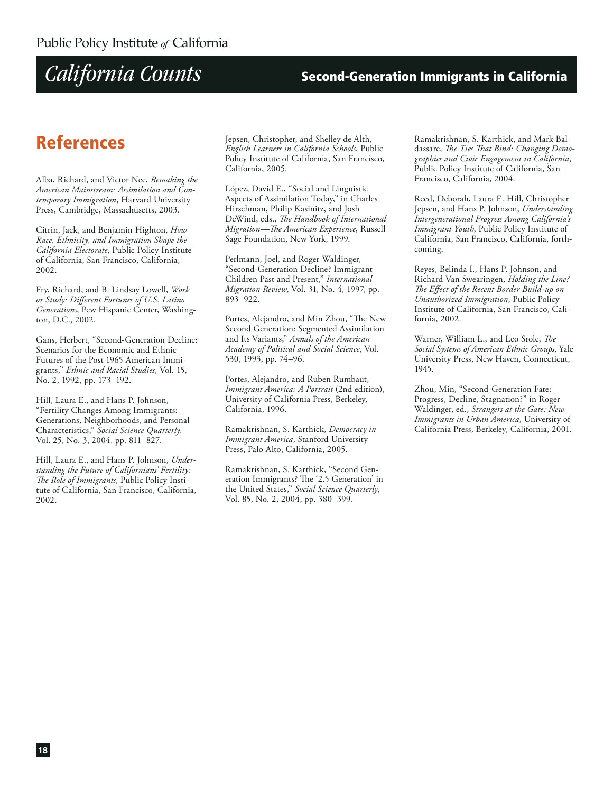### **Second-Generation Immigrants in California**

### **References**

Alba, Richard, and Victor Nee, Remaking the American Mainstream: Assimilation and Contemporary Immigration, Harvard University Press, Cambridge, Massachusetts, 2003.

Citrin, Jack, and Benjamin Highton, How Race, Ethnicity, and Immigration Shape the California Electorate, Public Policy Institute of California, San Francisco, California, 2002.

Fry, Richard, and B. Lindsay Lowell, Work or Study: Different Fortunes of U.S. Latino Generations, Pew Hispanic Center, Washington, D.C., 2002.

Gans, Herbert, "Second-Generation Decline: Scenarios for the Economic and Ethnic Futures of the Post-1965 American Immigrants," Ethnic and Racial Studies, Vol. 15, No. 2, 1992, pp. 173-192.

Hill, Laura E., and Hans P. Johnson, "Fertility Changes Among Immigrants: Generations, Neighborhoods, and Personal Characteristics," Social Science Quarterly, Vol. 25, No. 3, 2004, pp. 811-827.

Hill, Laura E., and Hans P. Johnson, Understanding the Future of Californians' Fertility: The Role of Immigrants, Public Policy Institute of California, San Francisco, California, 2002.

Jepsen, Christopher, and Shelley de Alth, English Learners in California Schools, Public Policy Institute of California, San Francisco, California, 2005.

López, David E., "Social and Linguistic Aspects of Assimilation Today," in Charles Hirschman, Philip Kasinitz, and Josh DeWind, eds., The Handbook of International Migration-The American Experience, Russell Sage Foundation, New York, 1999.

Perlmann, Joel, and Roger Waldinger, "Second-Generation Decline? Immigrant Children Past and Present," International Migration Review, Vol. 31, No. 4, 1997, pp. 893-922.

Portes, Alejandro, and Min Zhou, "The New Second Generation: Segmented Assimilation and Its Variants," Annals of the American Academy of Political and Social Science, Vol. 530, 1993, pp. 74-96.

Portes, Alejandro, and Ruben Rumbaut, Immigrant America: A Portrait (2nd edition), University of California Press, Berkeley, California, 1996.

Ramakrishnan, S. Karthick, Democracy in Immigrant America, Stanford University Press, Palo Alto, California, 2005.

Ramakrishnan, S. Karthick, "Second Generation Immigrants? The '2.5 Generation' in the United States," Social Science Quarterly, Vol. 85, No. 2, 2004, pp. 380-399.

Ramakrishnan, S. Karthick, and Mark Baldassare, The Ties That Bind: Changing Demographics and Civic Engagement in California, Public Policy Institute of California, San Francisco, California, 2004.

Reed, Deborah, Laura E. Hill, Christopher Jepsen, and Hans P. Johnson, Understanding Intergenerational Progress Among California's Immigrant Youth, Public Policy Institute of California, San Francisco, California, forthcoming.

Reyes, Belinda I., Hans P. Johnson, and Richard Van Swearingen, Holding the Line? The Effect of the Recent Border Build-up on Unauthorized Immigration, Public Policy Institute of California, San Francisco, California, 2002.

Warner, William L., and Leo Srole, The Social Systems of American Ethnic Groups, Yale University Press, New Haven, Connecticut, 1945.

Zhou, Min, "Second-Generation Fate: Progress, Decline, Stagnation?" in Roger Waldinger, ed., Strangers at the Gate: New Immigrants in Urban America, University of California Press, Berkeley, California, 2001.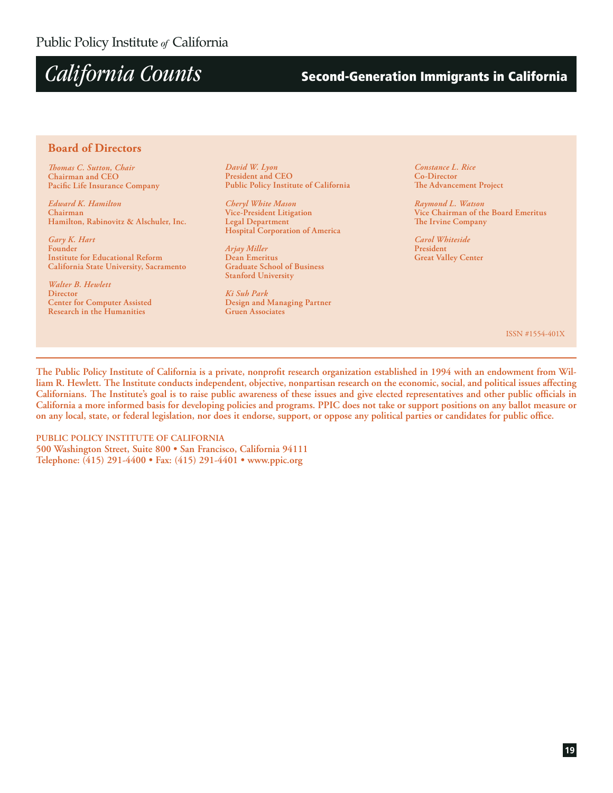### **Second-Generation Immigrants in California**

#### **Board of Directors**

Thomas C. Sutton, Chair Chairman and CEO Pacific Life Insurance Company

**Edward K. Hamilton** Chairman Hamilton, Rabinovitz & Alschuler, Inc.

Gary K. Hart Founder **Institute for Educational Reform** California State University, Sacramento

Walter B. Hewlett Director **Center for Computer Assisted** Research in the Humanities

David W. Lyon President and CEO Public Policy Institute of California

Cheryl White Mason Vice-President Litigation **Legal Department** Hospital Corporation of America

Arjay Miller Dean Emeritus **Graduate School of Business Stanford University** 

Ki Suh Park Design and Managing Partner **Gruen Associates** 

Constance L. Rice Co-Director The Advancement Project

Raymond L. Watson Vice Chairman of the Board Emeritus The Irvine Company

Carol Whiteside President **Great Valley Center** 

ISSN #1554-401X

The Public Policy Institute of California is a private, nonprofit research organization established in 1994 with an endowment from William R. Hewlett. The Institute conducts independent, objective, nonpartisan research on the economic, social, and political issues affecting Californians. The Institute's goal is to raise public awareness of these issues and give elected representatives and other public officials in California a more informed basis for developing policies and programs. PPIC does not take or support positions on any ballot measure or on any local, state, or federal legislation, nor does it endorse, support, or oppose any political parties or candidates for public office.

PUBLIC POLICY INSTITUTE OF CALIFORNIA 500 Washington Street, Suite 800 · San Francisco, California 94111 Telephone: (415) 291-4400 • Fax: (415) 291-4401 • www.ppic.org